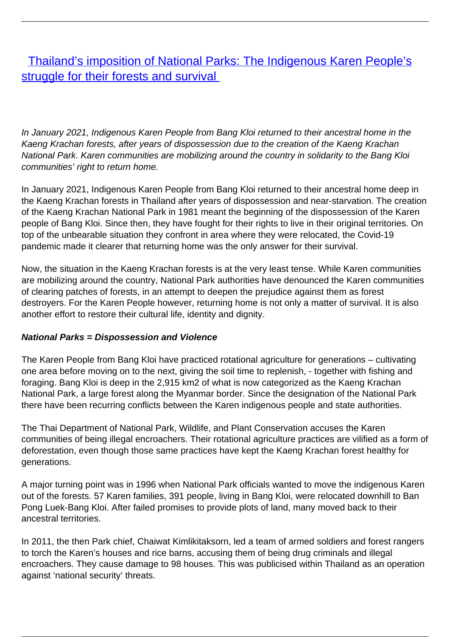[Thailand's imposition of National Parks: The Indigenous Karen People's](/bulletin-articles/thailands-imposition-of-national-parks-the-indigenous-karen-peoples-struggle-for-their-forests-and) [struggle for their forests and survival](/bulletin-articles/thailands-imposition-of-national-parks-the-indigenous-karen-peoples-struggle-for-their-forests-and)

In January 2021, Indigenous Karen People from Bang Kloi returned to their ancestral home in the Kaeng Krachan forests, after years of dispossession due to the creation of the Kaeng Krachan National Park. Karen communities are mobilizing around the country in solidarity to the Bang Kloi communities' right to return home.

In January 2021, Indigenous Karen People from Bang Kloi returned to their ancestral home deep in the Kaeng Krachan forests in Thailand after years of dispossession and near-starvation. The creation of the Kaeng Krachan National Park in 1981 meant the beginning of the dispossession of the Karen people of Bang Kloi. Since then, they have fought for their rights to live in their original territories. On top of the unbearable situation they confront in area where they were relocated, the Covid-19 pandemic made it clearer that returning home was the only answer for their survival.

Now, the situation in the Kaeng Krachan forests is at the very least tense. While Karen communities are mobilizing around the country, National Park authorities have denounced the Karen communities of clearing patches of forests, in an attempt to deepen the prejudice against them as forest destroyers. For the Karen People however, returning home is not only a matter of survival. It is also another effort to restore their cultural life, identity and dignity.

## **National Parks = Dispossession and Violence**

The Karen People from Bang Kloi have practiced rotational agriculture for generations – cultivating one area before moving on to the next, giving the soil time to replenish, - together with fishing and foraging. Bang Kloi is deep in the 2,915 km2 of what is now categorized as the Kaeng Krachan National Park, a large forest along the Myanmar border. Since the designation of the National Park there have been recurring conflicts between the Karen indigenous people and state authorities.

The Thai Department of National Park, Wildlife, and Plant Conservation accuses the Karen communities of being illegal encroachers. Their rotational agriculture practices are vilified as a form of deforestation, even though those same practices have kept the Kaeng Krachan forest healthy for generations.

A major turning point was in 1996 when National Park officials wanted to move the indigenous Karen out of the forests. 57 Karen families, 391 people, living in Bang Kloi, were relocated downhill to Ban Pong Luek-Bang Kloi. After failed promises to provide plots of land, many moved back to their ancestral territories.

In 2011, the then Park chief, Chaiwat Kimlikitaksorn, led a team of armed soldiers and forest rangers to torch the Karen's houses and rice barns, accusing them of being drug criminals and illegal encroachers. They cause damage to 98 houses. This was publicised within Thailand as an operation against 'national security' threats.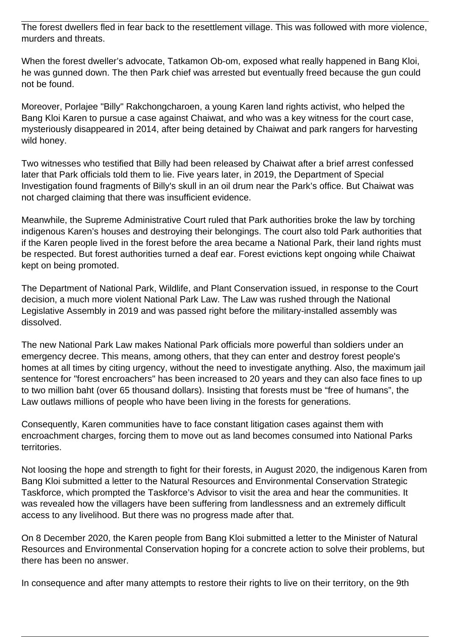The forest dwellers fled in fear back to the resettlement village. This was followed with more violence, murders and threats.

When the forest dweller's advocate, Tatkamon Ob-om, exposed what really happened in Bang Kloi, he was gunned down. The then Park chief was arrested but eventually freed because the gun could not be found.

Moreover, Porlajee "Billy" Rakchongcharoen, a young Karen land rights activist, who helped the Bang Kloi Karen to pursue a case against Chaiwat, and who was a key witness for the court case, mysteriously disappeared in 2014, after being detained by Chaiwat and park rangers for harvesting wild honey.

Two witnesses who testified that Billy had been released by Chaiwat after a brief arrest confessed later that Park officials told them to lie. Five years later, in 2019, the Department of Special Investigation found fragments of Billy's skull in an oil drum near the Park's office. But Chaiwat was not charged claiming that there was insufficient evidence.

Meanwhile, the Supreme Administrative Court ruled that Park authorities broke the law by torching indigenous Karen's houses and destroying their belongings. The court also told Park authorities that if the Karen people lived in the forest before the area became a National Park, their land rights must be respected. But forest authorities turned a deaf ear. Forest evictions kept ongoing while Chaiwat kept on being promoted.

The Department of National Park, Wildlife, and Plant Conservation issued, in response to the Court decision, a much more violent National Park Law. The Law was rushed through the National Legislative Assembly in 2019 and was passed right before the military-installed assembly was dissolved.

The new National Park Law makes National Park officials more powerful than soldiers under an emergency decree. This means, among others, that they can enter and destroy forest people's homes at all times by citing urgency, without the need to investigate anything. Also, the maximum jail sentence for "forest encroachers" has been increased to 20 years and they can also face fines to up to two million baht (over 65 thousand dollars). Insisting that forests must be "free of humans", the Law outlaws millions of people who have been living in the forests for generations.

Consequently, Karen communities have to face constant litigation cases against them with encroachment charges, forcing them to move out as land becomes consumed into National Parks territories.

Not loosing the hope and strength to fight for their forests, in August 2020, the indigenous Karen from Bang Kloi submitted a letter to the Natural Resources and Environmental Conservation Strategic Taskforce, which prompted the Taskforce's Advisor to visit the area and hear the communities. It was revealed how the villagers have been suffering from landlessness and an extremely difficult access to any livelihood. But there was no progress made after that.

On 8 December 2020, the Karen people from Bang Kloi submitted a letter to the Minister of Natural Resources and Environmental Conservation hoping for a concrete action to solve their problems, but there has been no answer.

In consequence and after many attempts to restore their rights to live on their territory, on the 9th